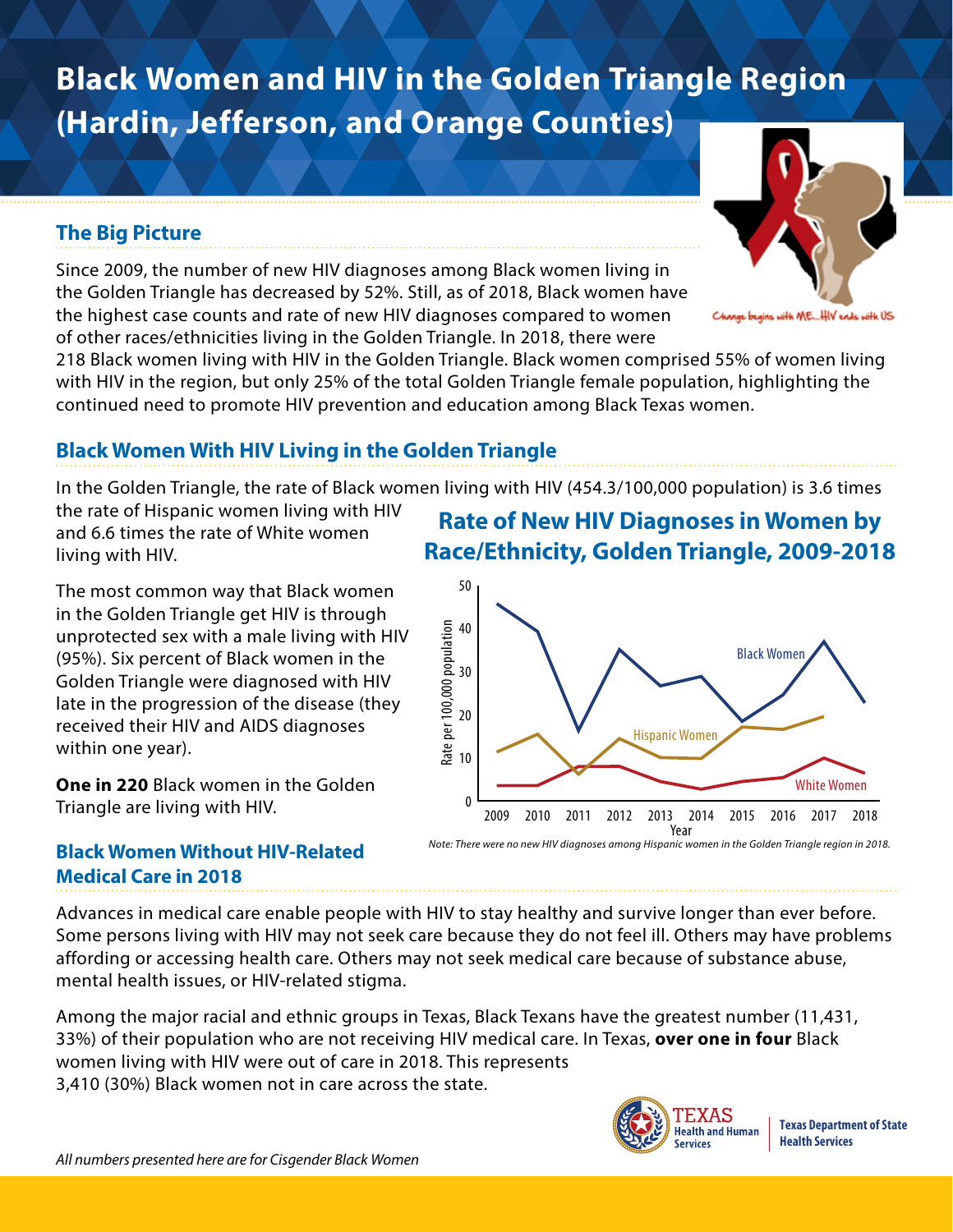# **Black Women and HIV in the Golden Triangle Region (Hardin, Jefferson, and Orange Counties)**

### **The Big Picture**

Since 2009, the number of new HIV diagnoses among Black women living in the Golden Triangle has decreased by 52%. Still, as of 2018, Black women have the highest case counts and rate of new HIV diagnoses compared to women of other races/ethnicities living in the Golden Triangle. In 2018, there were

218 Black women living with HIV in the Golden Triangle. Black women comprised 55% of women living with HIV in the region, but only 25% of the total Golden Triangle female population, highlighting the continued need to promote HIV prevention and education among Black Texas women.

### **Black Women With HIV Living in the Golden Triangle**

In the Golden Triangle, the rate of Black women living with HIV (454.3/100,000 population) is 3.6 times

the rate of Hispanic women living with HIV and 6.6 times the rate of White women living with HIV.

The most common way that Black women in the Golden Triangle get HIV is through unprotected sex with a male living with HIV (95%). Six percent of Black women in the Golden Triangle were diagnosed with HIV late in the progression of the disease (they received their HIV and AIDS diagnoses within one year).

**One in 220** Black women in the Golden Triangle are living with HIV.

# **Rate of New HIV Diagnoses in Women by Race/Ethnicity, Golden Triangle, 2009-2018**



#### **Black Women Without HIV-Related Medical Care in 2018**

Advances in medical care enable people with HIV to stay healthy and survive longer than ever before. Some persons living with HIV may not seek care because they do not feel ill. Others may have problems affording or accessing health care. Others may not seek medical care because of substance abuse, mental health issues, or HIV-related stigma.

Among the major racial and ethnic groups in Texas, Black Texans have the greatest number (11,431, 33%) of their population who are not receiving HIV medical care. In Texas, **over one in four** Black women living with HIV were out of care in 2018. This represents 3,410 (30%) Black women not in care across the state.



**Texas Department of State Health Services**



ge begins with ME...HIV ends with US